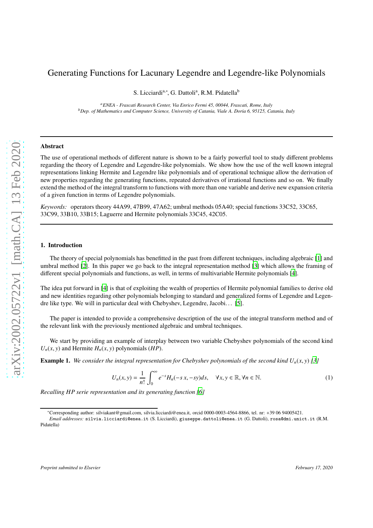# Generating Functions for Lacunary Legendre and Legendre-like Polynomials

S. Licciardi<sup>a,∗</sup>, G. Dattoli<sup>a</sup>, R.M. Pidatella<sup>b</sup>

*<sup>a</sup>ENEA - Frascati Research Center, Via Enrico Fermi 45, 00044, Frascati, Rome, Italy <sup>b</sup>Dep. of Mathematics and Computer Science, University of Catania, Viale A. Doria 6, 95125, Catania, Italy*

#### Abstract

The use of operational methods of different nature is shown to be a fairly powerful tool to study different problems regarding the theory of Legendre and Legendre-like polynomials. We show how the use of the well known integral representations linking Hermite and Legendre like polynomials and of operational technique allow the derivation of new properties regarding the generating functions, repeated derivatives of irrational functions and so on. We finally extend the method of the integral transform to functions with more than one variable and derive new expansion criteria of a given function in terms of Legendre polynomials.

*Keywords:* operators theory 44A99, 47B99, 47A62; umbral methods 05A40; special functions 33C52, 33C65, 33C99, 33B10, 33B15; Laguerre and Hermite polynomials 33C45, 42C05.

## 1. Introduction

The theory of special polynomials has benefitted in the past from different techniques, including algebraic [\[1\]](#page-10-0) and umbral method [\[2\]](#page-10-1). In this paper we go back to the integral representation method [\[3](#page-10-2)] which allows the framing of different special polynomials and functions, as well, in terms of multivariable Hermite polynomials [\[4\]](#page-10-3).

The idea put forward in [\[4](#page-10-3)] is that of exploiting the wealth of properties of Hermite polynomial families to derive old and new identities regarding other polynomials belonging to standard and generalized forms of Legendre and Legendre like type. We will in particular deal with Chebyshev, Legendre, Jacobi. . . [\[5](#page-10-4)].

The paper is intended to provide a comprehensive description of the use of the integral transform method and of the relevant link with the previously mentioned algebraic and umbral techniques.

We start by providing an example of interplay between two variable Chebyshev polynomials of the second kind  $U_n(x, y)$  and Hermite  $H_n(x, y)$  polynomials (*HP*).

**Example 1.** We consider the integral representation for Chebyshev polynomials of the second kind  $U_n(x, y)$  [\[3\]](#page-10-2)

<span id="page-0-0"></span>
$$
U_n(x, y) = \frac{1}{n!} \int_0^\infty e^{-s} H_n(-s x, -s y) ds, \quad \forall x, y \in \mathbb{R}, \forall n \in \mathbb{N}.
$$
 (1)

*Recalling HP serie representation and its generating function [\[6](#page-10-5)]*

<sup>∗</sup>Corresponding author: silviakant@gmail.com, silvia.licciardi@enea.it, orcid 0000-0003-4564-8866, tel. nr: +39 06 94005421.

*Email addresses:* silvia.licciardi@enea.it (S. Licciardi), giuseppe.dattoli@enea.it (G. Dattoli), rosa@dmi.unict.it (R.M. Pidatella)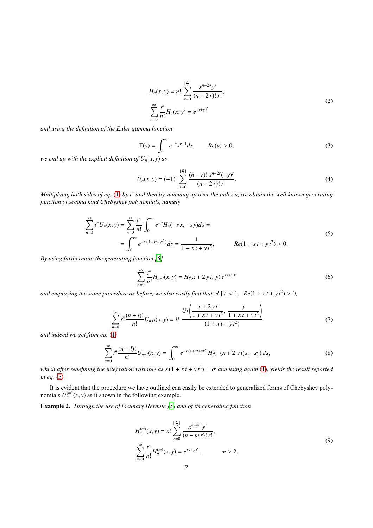$$
H_n(x, y) = n! \sum_{r=0}^{\lfloor \frac{n}{2} \rfloor} \frac{x^{n-2r} y^r}{(n-2r)! \, r!},
$$
  

$$
\sum_{n=0}^{\infty} \frac{t^n}{n!} H_n(x, y) = e^{xt + y t^2}
$$
 (2)

<span id="page-1-1"></span>*and using the definition of the Euler gamma function*

$$
\Gamma(\nu) = \int_0^\infty e^{-s} s^{\nu - 1} ds, \qquad Re(\nu) > 0,
$$
\n(3)

*we end up with the explicit definition of*  $U_n(x, y)$  *as* 

$$
U_n(x, y) = (-1)^n \sum_{r=0}^{\lfloor \frac{n}{2} \rfloor} \frac{(n-r)! \, x^{n-2r}(-y)^r}{(n-2\, r)! \, r!}.
$$
\n
$$
(4)
$$

*Multiplying both sides of eq.* [\(1\)](#page-0-0) *by t<sup>n</sup> and then by summing up over the index n, we obtain the well known generating function of second kind Chebyshev polynomials, namely*

$$
\sum_{n=0}^{\infty} t^n U_n(x, y) = \sum_{n=0}^{\infty} \frac{t^n}{n!} \int_0^{\infty} e^{-s} H_n(-s x, -s y) ds =
$$
\n
$$
= \int_0^{\infty} e^{-s (1+xt+yt^2)} ds = \frac{1}{1+xt+yt^2}, \qquad Re(1+xt+yt^2) > 0.
$$
\n(5)

<span id="page-1-0"></span>*By using furthermore the generating function [\[5\]](#page-10-4)*

$$
\sum_{n=0}^{\infty} \frac{t^n}{n!} H_{n+l}(x, y) = H_l(x + 2yt, y) e^{xt + yt^2}
$$
 (6)

*and employing the same procedure as before, we also easily find that,*  $\forall |t| < 1$ ,  $Re(1 + xt + yt^2) > 0$ ,

$$
\sum_{n=0}^{\infty} t^n \frac{(n+l)!}{n!} U_{n+l}(x,y) = l! \frac{U_l \left( \frac{x+2yt}{1+xt+yt^2}, \frac{y}{1+xt+yt^2} \right)}{(1+xt+yt^2)}
$$
(7)

*and indeed we get from eq.* [\(1\)](#page-0-0)

$$
\sum_{n=0}^{\infty} t^n \frac{(n+l)!}{n!} U_{n+l}(x, y) = \int_0^{\infty} e^{-s(1+xt+yt^2)} H_l(-(x+2yt)s, -sy) ds,
$$
\n(8)

*which after redefining the integration variable as s*(1 + *x t* + *y t*<sup>2</sup> ) = σ *and using again* [\(1\)](#page-0-0)*, yields the result reported in eq.* [\(5\)](#page-1-0)*.*

It is evident that the procedure we have outlined can easily be extended to generalized forms of Chebyshev polynomials  $U_n^{(m)}(x, y)$  as it shown in the following example.

Example 2. *Through the use of lacunary Hermite [\[5\]](#page-10-4) and of its generating function*

$$
H_n^{(m)}(x, y) = n! \sum_{r=0}^{\lfloor \frac{n}{m} \rfloor} \frac{x^{n-m} y^r}{(n-m)! \, r!},
$$
  

$$
\sum_{n=0}^{\infty} \frac{t^n}{n!} H_n^{(m)}(x, y) = e^{x t + y t^m}, \qquad m > 2,
$$
  
(9)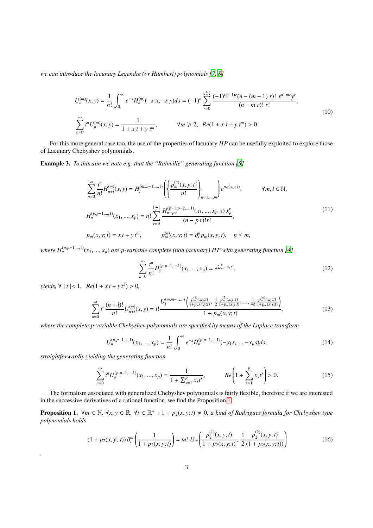*we can introduce the lacunary Legendre (or Humbert) polynomials [\[7,](#page-10-6) [8\]](#page-10-7)*

$$
U_n^{(m)}(x, y) = \frac{1}{n!} \int_0^\infty e^{-s} H_n^{(m)}(-s, x, -s, y) ds = (-1)^n \sum_{r=0}^{\lfloor \frac{n}{m} \rfloor} \frac{(-1)^{(m-1)r} (n - (m-1) r)! x^{n-mr} y^r}{(n-m r)! r!},
$$
  

$$
\sum_{n=0}^\infty t^n U_n^{(m)}(x, y) = \frac{1}{1 + x t + y t^m}, \qquad \forall m \ge 2, \ Re(1 + x t + y t^m) > 0.
$$
 (10)

For this more general case too, the use of the properties of lacunary *HP* can be usefully exploited to explore those of Lacunary Chebyshev polynomials.

Example 3. *To this aim we note e.g. that the "Rainville" generating function* [\[5](#page-10-4)]

$$
\sum_{n=0}^{\infty} \frac{t^n}{n!} H_{n+l}^{(m)}(x, y) = H_l^{(m, m-1, \dots, 1)} \left( \left\{ \frac{p_m^{(n)}(x, y; t)}{n!} \right\}_{n=1, \dots, m} \right) e^{p_m(x, y; t)}, \qquad \forall m, l \in \mathbb{N},
$$
  

$$
H_n^{(p, p-1, \dots, 1)}(x_1, \dots, x_p) = n! \sum_{r=0}^{\lfloor \frac{n}{p} \rfloor} \frac{H_{n-pr}^{(p-1, p-2, \dots, 1)}(x_1, \dots, x_{p-1}) x_p^r}{(n - p r)! r!},
$$
  

$$
p_m(x, y; t) = x t + y t^m, \qquad p_m^{(n)}(x, y; t) = \partial_t^n p_m(x, y; t), \quad n \le m,
$$
  
(11)

*where*  $H_n^{(p,p-1,...,1)}(x_1,...,x_p)$  are p-variable complete (non lacunary) HP with generating function [\[4\]](#page-10-3)

$$
\sum_{n=0}^{\infty} \frac{t^n}{n!} H_n^{(p,p-1,\dots,1)}(x_1, \dots, x_p) = e^{\sum_{s=1}^p x_s t^s},\tag{12}
$$

 $yields, \forall |t| < 1, \quad Re(1 + xt + yt^2) > 0,$ 

$$
\sum_{n=0}^{\infty} t^n \frac{(n+l)!}{n!} U_{n+l}^{(m)}(x,y) = l! \frac{U_l^{(m,m-1,\dots)}\left(\frac{p_m^{(1)}(x,y;t)}{1+p_m(x,y;t)}, \frac{1}{2} \frac{p_m^{(2)}(x,y;t)}{1+p_m(x,y;t)}, \dots, \frac{1}{m!} \frac{p_m^{(m)}(x,y;t)}{1+p_m(x,y;t)}\right)}{1+p_m(x,y;t)},
$$
\n(13)

*where the complete p-variable Chebyshev polynomials are specified by means of the Laplace transform*

$$
U_n^{(p,p-1,\dots,1)}(x_1,\dots,x_p) = \frac{1}{n!} \int_0^\infty e^{-s} H_n^{(p,p-1,\dots,1)}(-x_1s,\dots,-x_ps)ds,\tag{14}
$$

*straightforwardly yielding the generating function*

*.*

$$
\sum_{n=0}^{\infty} t^n U_n^{(p,p-1,\dots,1)}(x_1,\dots,x_p) = \frac{1}{1 + \sum_{s=1}^p x_s t^s}, \qquad Re\left(1 + \sum_{s=1}^p x_s t^s\right) > 0.
$$
 (15)

The formalism associated with generalized Chebyshev polynomials is fairly flexible, therefore if we are interested in the successive derivatives of a rational function, we find the Proposition [1.](#page-2-0)

<span id="page-2-0"></span>**Proposition 1.**  $\forall m \in \mathbb{N}, \forall x, y \in \mathbb{R}, \forall t \in \mathbb{R}^+ : 1 + p_2(x, y; t) \neq 0$ , a kind of Rodriguez formula for Chebyshev type *polynomials holds*

<span id="page-2-1"></span>
$$
(1 + p_2(x, y; t)) \partial_t^m \left( \frac{1}{1 + p_2(x, y; t)} \right) = m! \ U_m \left( \frac{p_2^{(1)}(x, y; t)}{1 + p_2(x, y; t)}, \ \frac{1}{2} \frac{p_2^{(2)}(x, y; t)}{(1 + p_2(x, y; t))} \right)
$$
(16)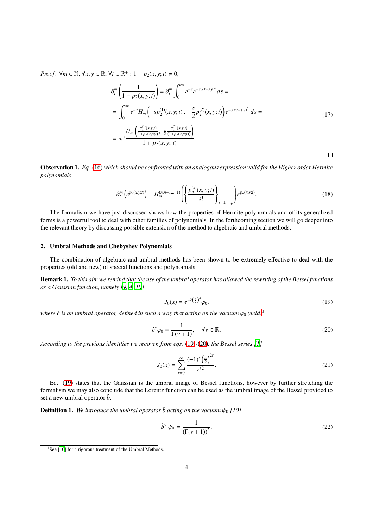*Proof.*  $\forall m \in \mathbb{N}, \forall x, y \in \mathbb{R}, \forall t \in \mathbb{R}^+ : 1 + p_2(x, y; t) \neq 0$ ,

$$
\partial_t^m \left( \frac{1}{1 + p_2(x, y; t)} \right) = \partial_t^m \int_0^\infty e^{-s} e^{-s \cdot xt - s \cdot y^2} ds =
$$
\n
$$
= \int_0^\infty e^{-s} H_m \left( -s p_2^{(1)}(x, y; t) \right) - \frac{s}{2} p_2^{(2)}(x, y; t) \Big) e^{-s \cdot xt - s \cdot y^2} ds =
$$
\n
$$
= m! \frac{U_m \left( \frac{p_2^{(1)}(x, y; t)}{1 + p_2(x, y; t)} \right)}{1 + p_2(x, y; t)}
$$
\n(17)

Observation 1. *Eq.* [\(16\)](#page-2-1) *which should be confronted with an analogous expression valid for the Higher order Hermite polynomials*

$$
\partial_t^m \left( e^{p_n(x,y;t)} \right) = H_m^{(n,n-1,\dots,1)} \left( \left\{ \frac{p_n^{(s)}(x,y;t)}{s!} \right\}_{s=1,\dots,p} \right) e^{p_n(x,y;t)}.
$$
\n(18)

The formalism we have just discussed shows how the properties of Hermite polynomials and of its generalized forms is a powerful tool to deal with other families of polynomials. In the forthcoming section we will go deeper into the relevant theory by discussing possible extension of the method to algebraic and umbral methods.

### 2. Umbral Methods and Chebyshev Polynomials

The combination of algebraic and umbral methods has been shown to be extremely effective to deal with the properties (old and new) of special functions and polynomials.

Remark 1. *To this aim we remind that the use of the umbral operator has allowed the rewriting of the Bessel functions as a Gaussian function, namely [\[9](#page-10-8), [4](#page-10-3), [10](#page-10-9)]*

<span id="page-3-1"></span>
$$
J_0(x) = e^{-\hat{c}(\frac{x}{2})^2} \varphi_0,\tag{19}
$$

 $\Box$ 

*where*  $\hat{c}$  *is an umbral operator, defined in such a way that acting on the vacuum*  $\varphi_0$  *yields*<sup>[1](#page-3-0)</sup>

<span id="page-3-2"></span>
$$
\hat{c}^{\nu}\varphi_0 = \frac{1}{\Gamma(\nu+1)}, \quad \forall \nu \in \mathbb{R}.\tag{20}
$$

*According to the previous identities we recover, from eqs.* [\(19\)](#page-3-1)*-*[\(20\)](#page-3-2)*, the Bessel series [\[1](#page-10-0)]*

$$
J_0(x) = \sum_{r=0}^{\infty} \frac{(-1)^r \left(\frac{x}{2}\right)^{2r}}{r!^2}.
$$
 (21)

Eq. [\(19\)](#page-3-1) states that the Gaussian is the umbral image of Bessel functions, however by further stretching the formalism we may also conclude that the Lorentz function can be used as the umbral image of the Bessel provided to set a new umbral operator  $\hat{b}$ .

<span id="page-3-3"></span>**Definition 1.** We introduce the umbral operator  $\hat{b}$  acting on the vacuum  $\psi_0$  [\[10](#page-10-9)]

$$
\hat{b}^{\nu} \psi_0 = \frac{1}{(\Gamma(\nu + 1))^2}.
$$
\n(22)

<span id="page-3-0"></span><sup>&</sup>lt;sup>1</sup>See [\[10\]](#page-10-9) for a rigorous treatment of the Umbral Methods.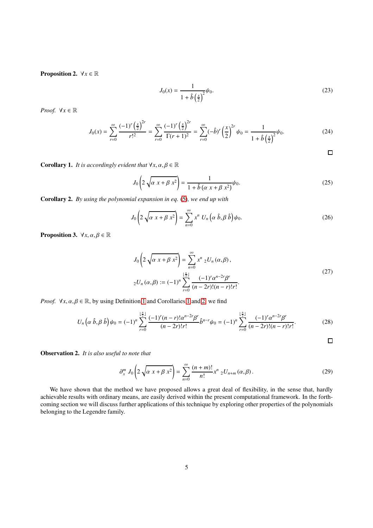**Proposition 2.**  $\forall x \in \mathbb{R}$ 

$$
J_0(x) = \frac{1}{1 + \hat{b}(\frac{x}{2})^2} \psi_0.
$$
 (23)

*Proof.*  $\forall x \in \mathbb{R}$ 

$$
J_0(x) = \sum_{r=0}^{\infty} \frac{(-1)^r \left(\frac{x}{2}\right)^{2r}}{r!^2} = \sum_{r=0}^{\infty} \frac{(-1)^r \left(\frac{x}{2}\right)^{2r}}{\Gamma(r+1)^2} = \sum_{r=0}^{\infty} (-\hat{b})^r \left(\frac{x}{2}\right)^{2r} \psi_0 = \frac{1}{1+\hat{b}\left(\frac{x}{2}\right)^2} \psi_0.
$$
 (24)

 $\Box$ 

<span id="page-4-0"></span>**Corollary 1.** *It is accordingly evident that*  $\forall x, \alpha, \beta \in \mathbb{R}$ 

$$
J_0 \left( 2\sqrt{\alpha x + \beta x^2} \right) = \frac{1}{1 + \hat{b} \left( \alpha x + \beta x^2 \right)} \psi_0.
$$
 (25)

<span id="page-4-1"></span>Corollary 2. *By using the polynomial expansion in eq.* [\(5\)](#page-1-0)*, we end up with*

$$
J_0\left(2\sqrt{\alpha x + \beta x^2}\right) = \sum_{n=0}^{\infty} x^n U_n\left(\alpha \hat{b}, \beta \hat{b}\right)\psi_0.
$$
 (26)

**Proposition 3.**  $\forall x, \alpha, \beta \in \mathbb{R}$ 

$$
J_0\left(2\sqrt{\alpha x + \beta x^2}\right) = \sum_{n=0}^{\infty} x^n {}_{2}U_n\left(\alpha, \beta\right),
$$
  

$$
_2U_n\left(\alpha, \beta\right) := (-1)^n \sum_{r=0}^{\lfloor \frac{n}{2} \rfloor} \frac{(-1)^r \alpha^{n-2r} \beta^r}{(n-2r)!(n-r)!r!}.
$$
 (27)

*Proof.*  $\forall x, \alpha, \beta \in \mathbb{R}$ , by using Definition [1](#page-4-0) and Corollaries 1 and [2,](#page-4-1) we find

$$
U_n\left(\alpha\ \hat{b},\beta\ \hat{b}\right)\psi_0=(-1)^n\sum_{r=0}^{\lfloor \frac{n}{2}\rfloor}\frac{(-1)^r(n-r)!\alpha^{n-2r}\beta^r}{(n-2r)!r!}\hat{b}^{n-r}\psi_0=(-1)^n\sum_{r=0}^{\lfloor \frac{n}{2}\rfloor}\frac{(-1)^r\alpha^{n-2r}\beta^r}{(n-2r)!(n-r)!r!}.\tag{28}
$$

 $\Box$ 

Observation 2. *It is also useful to note that*

$$
\partial_x^m J_0 \left( 2 \sqrt{\alpha x + \beta x^2} \right) = \sum_{n=0}^{\infty} \frac{(n+m)!}{n!} x^n \, 2U_{n+m}(\alpha, \beta) \,. \tag{29}
$$

We have shown that the method we have proposed allows a great deal of flexibility, in the sense that, hardly achievable results with ordinary means, are easily derived within the present computational framework. In the forthcoming section we will discuss further applications of this technique by exploring other properties of the polynomials belonging to the Legendre family.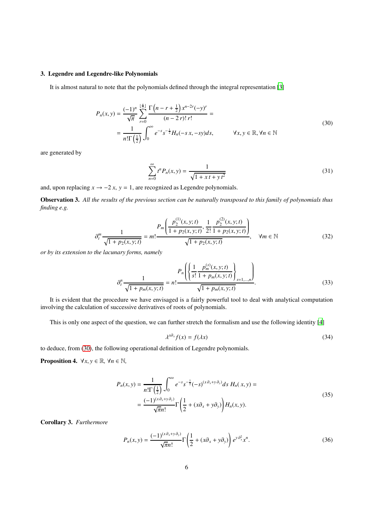## 3. Legendre and Legendre-like Polynomials

It is almost natural to note that the polynomials defined through the integral representation [\[3](#page-10-2)]

$$
P_n(x, y) = \frac{(-1)^n}{\sqrt{\pi}} \sum_{r=0}^{\lfloor \frac{n}{2} \rfloor} \frac{\Gamma(n - r + \frac{1}{2}) x^{n-2r} (-y)^r}{(n - 2r)! r!} =
$$
  
= 
$$
\frac{1}{n! \Gamma(\frac{1}{2})} \int_0^\infty e^{-s} s^{-\frac{1}{2}} H_n(-s x, -sy) ds, \qquad \forall x, y \in \mathbb{R}, \forall n \in \mathbb{N}
$$
 (30)

<span id="page-5-0"></span>are generated by

$$
\sum_{n=0}^{\infty} t^n P_n(x, y) = \frac{1}{\sqrt{1 + x t + y t^2}} \tag{31}
$$

and, upon replacing  $x \to -2x$ ,  $y = 1$ , are recognized as Legendre polynomials.

Observation 3. *All the results of the previous section can be naturally transposed to this family of polynomials thus finding e.g.*

$$
\partial_t^m \frac{1}{\sqrt{1 + p_2(x, y; t)}} = m! \frac{P_m \left( \frac{p_2^{(1)}(x, y; t)}{1 + p_2(x, y; t)}, \frac{1}{2!} \frac{p_2^{(2)}(x, y; t)}{1 + p_2(x, y; t)} \right)}{\sqrt{1 + p_2(x, y; t)}}, \quad \forall m \in \mathbb{N}
$$
(32)

*or by its extension to the lacunary forms, namely*

$$
\partial_t^n \frac{1}{\sqrt{1 + p_m(x, y; t)}} = n! \frac{P_n \left( \left\{ \frac{1}{s!} \frac{p_m^{(s)}(x, y; t)}{1 + p_m(x, y; t)} \right\}_{s=1,\dots,n} \right)}{\sqrt{1 + p_m(x, y; t)}}.
$$
(33)

It is evident that the procedure we have envisaged is a fairly powerful tool to deal with analytical computation involving the calculation of successive derivatives of roots of polynomials.

This is only one aspect of the question, we can further stretch the formalism and use the following identity [\[4](#page-10-3)]

$$
\lambda^{x\partial_x} f(x) = f(\lambda x) \tag{34}
$$

to deduce, from [\(30\)](#page-5-0), the following operational definition of Legendre polynomials.

**Proposition 4.**  $\forall x, y \in \mathbb{R}, \forall n \in \mathbb{N}$ ,

$$
P_n(x, y) = \frac{1}{n!\Gamma(\frac{1}{2})} \int_0^{\infty} e^{-s} s^{-\frac{1}{2}}(-s)^{(x \partial_x + y \partial_y)} ds H_n(x, y) =
$$
  
= 
$$
\frac{(-1)^{(x\partial_x + y\partial_y)}}{\sqrt{\pi}n!} \Gamma(\frac{1}{2} + (x\partial_x + y\partial_y)) H_n(x, y).
$$
 (35)

Corollary 3. *Furthermore*

<span id="page-5-1"></span>
$$
P_n(x, y) = \frac{(-1)^{(x\partial_x + y\partial_y)}}{\sqrt{\pi}n!} \Gamma\left(\frac{1}{2} + (x\partial_x + y\partial_y)\right) e^{y\partial_x^2} x^n.
$$
 (36)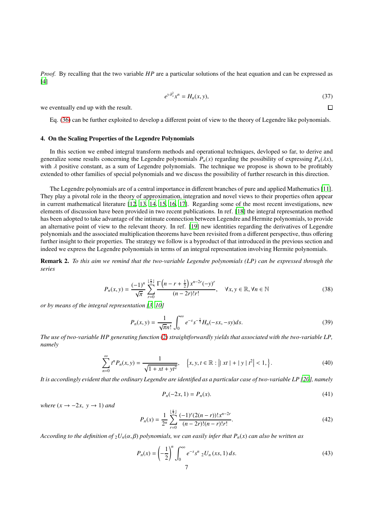*Proof.* By recalling that the two variable *HP* are a particular solutions of the heat equation and can be expressed as [\[4\]](#page-10-3)

$$
e^{\gamma \partial_x^2} x^n = H_n(x, y), \tag{37}
$$

 $\Box$ 

we eventually end up with the result.

Eq. [\(36\)](#page-5-1) can be further exploited to develop a different point of view to the theory of Legendre like polynomials.

### 4. On the Scaling Properties of the Legendre Polynomials

In this section we embed integral transform methods and operational techniques, devloped so far, to derive and generalize some results concerning the Legendre polynomials  $P_n(x)$  regarding the possibility of expressing  $P_n(\lambda x)$ , with  $\lambda$  positive constant, as a sum of Legendre polynomials. The technique we propose is shown to be profitably extended to other families of special polynomials and we discuss the possibility of further research in this direction.

The Legendre polynomials are of a central importance in different branches of pure and applied Mathematics [\[11](#page-10-10)]. They play a pivotal role in the theory of approximation, integration and novel views to their properties often appear in current mathematical literature [\[12,](#page-10-11) [13,](#page-10-12) [14](#page-10-13), [15](#page-10-14), [16,](#page-10-15) [17\]](#page-10-16). Regarding some of the most recent investigations, new elements of discussion have been provided in two recent publications. In ref. [\[18](#page-10-17)] the integral representation method has been adopted to take advantage of the intimate connection between Legendre and Hermite polynomials, to provide an alternative point of view to the relevant theory. In ref. [\[19\]](#page-10-18) new identities regarding the derivatives of Legendre polynomials and the associated multiplication theorems have been revisited from a different perspective, thus offering further insight to their properties. The strategy we follow is a byproduct of that introduced in the previous section and indeed we express the Legendre polynomials in terms of an integral representation involving Hermite polynomials.

Remark 2. *To this aim we remind that the two-variable Legendre polynomials (LP) can be expressed through the series*

$$
P_n(x, y) = \frac{(-1)^n}{\sqrt{\pi}} \sum_{r=0}^{\lfloor \frac{n}{2} \rfloor} \frac{\Gamma\left(n - r + \frac{1}{2}\right) x^{n-2r} (-y)^r}{(n - 2r)! r!}, \quad \forall x, y \in \mathbb{R}, \forall n \in \mathbb{N}
$$
 (38)

*or by means of the integral representation [\[3,](#page-10-2) [10\]](#page-10-9)*

<span id="page-6-0"></span>
$$
P_n(x, y) = \frac{1}{\sqrt{\pi}n!} \int_0^{\infty} e^{-s} s^{-\frac{1}{2}} H_n(-sx, -sy) ds.
$$
 (39)

*The use of two-variable HP generating function* [\(2\)](#page-1-1) *straightforwardly yields that associated with the two-variable LP, namely*

$$
\sum_{n=0}^{\infty} t^n P_n(x, y) = \frac{1}{\sqrt{1 + xt + yt^2}}, \quad \left\{ x, y, t \in \mathbb{R} : \left| \mid xt \mid + \mid y \mid t^2 \right| < 1, \right\}. \tag{40}
$$

*It is accordingly evident that the ordinary Legendre are identified as a particular case of two-variable LP [\[20\]](#page-10-19), namely*

$$
P_n(-2x, 1) = P_n(x). \tag{41}
$$

*where*  $(x \rightarrow -2x, y \rightarrow 1)$  *and* 

$$
P_n(x) = \frac{1}{2^n} \sum_{r=0}^{\lfloor \frac{n}{2} \rfloor} \frac{(-1)^r (2(n-r))! x^{n-2r}}{(n-2r)!(n-r)! r!}.
$$
\n(42)

*According to the definition of*  $_2U_n(\alpha, \beta)$  *polynomials, we can easily infer that*  $P_n(x)$  *can also be written as* 

$$
P_n(x) = \left(-\frac{1}{2}\right)^n \int_0^\infty e^{-s} s^n \, {}_2U_n(xs, 1) \, ds. \tag{43}
$$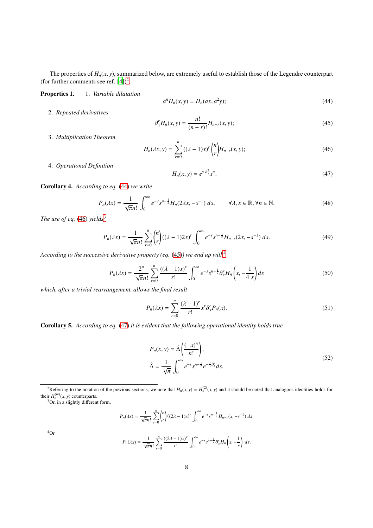The properties of  $H_n(x, y)$ , summarized below, are extremely useful to establish those of the Legendre counterpart (for further comments see ref.  $[4]$ )<sup>[2](#page-7-0)</sup>.

Properties 1. 1. *Variable dilatation*

<span id="page-7-1"></span>
$$
a^n H_n(x, y) = H_n(ax, a^2y);
$$
\n(44)

2. *Repeated derivatives*

<span id="page-7-4"></span>
$$
\partial_x^r H_n(x, y) = \frac{n!}{(n-r)!} H_{n-r}(x, y); \tag{45}
$$

3. *Multiplication Theorem*

<span id="page-7-2"></span>
$$
H_n(\lambda x, y) = \sum_{r=0}^n ((\lambda - 1)x)^r \binom{n}{r} H_{n-r}(x, y); \tag{46}
$$

4. *Operational Definition*

<span id="page-7-6"></span>
$$
H_n(x, y) = e^{y \partial_x^2} x^n. \tag{47}
$$

Corollary 4. *According to eq.* [\(44\)](#page-7-1) *we write*

$$
P_n(\lambda x) = \frac{1}{\sqrt{\pi}n!} \int_0^\infty e^{-s} s^{n-\frac{1}{2}} H_n(2\lambda x, -s^{-1}) \, ds, \qquad \forall \lambda, x \in \mathbb{R}, \forall n \in \mathbb{N}.
$$

*The use of eq.* [\(46\)](#page-7-2) *yields*<sup>[3](#page-7-3)</sup>

$$
P_n(\lambda x) = \frac{1}{\sqrt{\pi}n!} \sum_{r=0}^n \binom{n}{r} ((\lambda - 1)2x)^r \int_0^\infty e^{-s} s^{n - \frac{1}{2}} H_{n-r}(2x, -s^{-1}) \, ds. \tag{49}
$$

*According to the successive derivative property (eq.* [\(45\)](#page-7-4)*) we end up with*[4](#page-7-5)

$$
P_n(\lambda x) = \frac{2^n}{\sqrt{\pi}n!} \sum_{r=0}^n \frac{((\lambda - 1)x)^r}{r!} \int_0^\infty e^{-s} s^{n - \frac{1}{2}} \partial_x^r H_n\left(x, -\frac{1}{4\ s}\right) ds \tag{50}
$$

*which, after a trivial rearrangement, allows the final result*

$$
P_n(\lambda x) = \sum_{r=0}^n \frac{(\lambda - 1)^r}{r!} x^r \partial_x^r P_n(x).
$$
 (51)

Corollary 5. *According to eq.* [\(47\)](#page-7-6) *it is evident that the following operational identity holds true*

$$
P_n(x, y) = \hat{\Delta} \left( \frac{(-x)^n}{n!} \right),
$$
  

$$
\hat{\Delta} = \frac{1}{\sqrt{\pi}} \int_0^\infty e^{-s} s^{n - \frac{1}{2}} e^{-\frac{y}{s} \partial_x^2} ds.
$$
 (52)

<span id="page-7-3"></span><span id="page-7-0"></span> $^{3}$ Or, in a slightly different form,

$$
P_n(\lambda x) = \frac{1}{\sqrt{\pi}n!} \sum_{r=0}^n \binom{n}{r} ((2\lambda - 1)x)^r \int_0^\infty e^{-s} s^{n - \frac{1}{2}} H_{n-r}(x, -s^{-1}) ds.
$$

<span id="page-7-5"></span><sup>4</sup>Or

$$
P_n(\lambda x) = \frac{1}{\sqrt{\pi}n!} \sum_{r=0}^n \frac{((2\lambda - 1)x)^r}{r!} \int_0^\infty e^{-s} s^{n - \frac{1}{2}} \partial_x^r H_n\left(x, -\frac{1}{s}\right) ds.
$$

<sup>&</sup>lt;sup>2</sup>Referring to the notation of the previous sections, we note that  $H_n(x, y) = H_n^{(2)}(x, y)$  and it should be noted that analogous identities holds for their  $H_n^{(m)}(x, y)$  counterparts.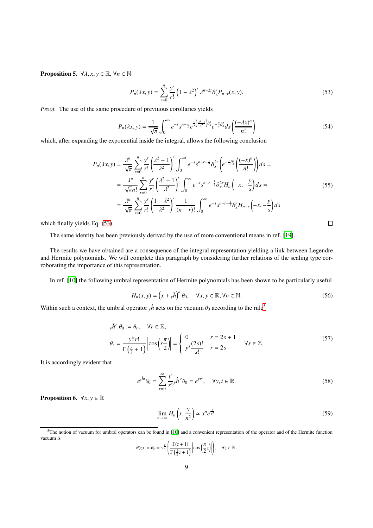**Proposition 5.**  $\forall \lambda, x, y \in \mathbb{R}, \forall n \in \mathbb{N}$ 

<span id="page-8-0"></span>
$$
P_n(\lambda x, y) = \sum_{r=0}^n \frac{y^r}{r!} \left(1 - \lambda^2\right)^r \lambda^{n-2r} \partial_x^r P_{n-r}(x, y).
$$
 (53)

*Proof.* The use of the same procedure of previuous corollaries yields

$$
P_n(\lambda x, y) = \frac{1}{\sqrt{\pi}} \int_0^{\infty} e^{-s} s^{n - \frac{1}{2}} e^{\frac{y}{s} \left(\frac{\lambda^2 - 1}{\lambda^2}\right) \partial_x^2} e^{-\frac{y}{s} \partial_x^2} ds \left(\frac{(-\lambda x)^n}{n!}\right)
$$
(54)

which, after expanding the exponential inside the integral, allows the following conclusion

$$
P_n(\lambda x, y) = \frac{\lambda^n}{\sqrt{\pi}} \sum_{r=0}^n \frac{y^r}{r!} \left(\frac{\lambda^2 - 1}{\lambda^2}\right)^r \int_0^\infty e^{-s} s^{n-r-\frac{1}{2}} \partial_x^{2r} \left(e^{-\frac{y}{s}\partial_x^2} \left(\frac{(-x)^n}{n!}\right)\right) ds =
$$
  
\n
$$
= \frac{\lambda^n}{\sqrt{\pi n!}} \sum_{r=0}^n \frac{y^r}{r!} \left(\frac{\lambda^2 - 1}{\lambda^2}\right)^r \int_0^\infty e^{-s} s^{n-r-\frac{1}{2}} \partial_x^{2r} H_n \left(-x, -\frac{y}{s}\right) ds =
$$
  
\n
$$
= \frac{\lambda^n}{\sqrt{\pi}} \sum_{r=0}^n \frac{y^r}{r!} \left(\frac{1 - \lambda^2}{\lambda^2}\right)^r \frac{1}{(n-r)!} \int_0^\infty e^{-s} s^{n-r-\frac{1}{2}} \partial_x^r H_{n-r} \left(-x, -\frac{y}{s}\right) ds
$$
 (55)

which finally yields Eq. [\(53\)](#page-8-0).

The same identity has been previously derived by the use of more conventional means in ref. [\[19\]](#page-10-18).

The results we have obtained are a consequence of the integral representation yielding a link between Legendre and Hermite polynomials. We will complete this paragraph by considering further relations of the scaling type corroborating the importance of this representation.

In ref. [\[10](#page-10-9)] the following umbral representation of Hermite polynomials has been shown to be particularly useful

<span id="page-8-2"></span>
$$
H_n(x, y) = \left(x + y\hat{h}\right)^n \theta_0, \quad \forall x, y \in \mathbb{R}, \forall n \in \mathbb{N}.
$$
 (56)

Within such a context, the umbral operator  $\sqrt{n}$  acts on the vacuum  $\theta_0$  according to the rule<sup>[5](#page-8-1)</sup>

$$
y\hat{h}^r \theta_0 := \theta_r, \quad \forall r \in \mathbb{R},
$$
  
\n
$$
\theta_r = \frac{y^{\frac{r}{2}}r!}{\Gamma(\frac{r}{2}+1)} \left| \cos\left(\frac{r\pi}{2}\right) \right| = \begin{cases} 0 & r = 2s+1 \\ y^s \frac{(2s)!}{s!} & r = 2s \end{cases} \quad \forall s \in \mathbb{Z}.
$$
 (57)

It is accordingly evident that

<span id="page-8-3"></span>
$$
e^{\int t}\theta_0 = \sum_{r=0}^{\infty} \frac{t^r}{r!} \hat{h}^r \theta_0 = e^{\nu t^2}, \quad \forall y, t \in \mathbb{R}.
$$
 (58)

**Proposition 6.**  $\forall x, y \in \mathbb{R}$ 

$$
\lim_{n \to \infty} H_n\left(x, \frac{y}{n^2}\right) \simeq x^n e^{\frac{y}{x^2}}.
$$
\n(59)

$$
\theta(z) := \theta_z = y^{\frac{z}{2}} \left( \frac{\Gamma(z+1)}{\Gamma(\frac{1}{2}z+1)} \left| \cos\left(\frac{\pi}{2}z\right) \right| \right), \quad \forall z \in \mathbb{R}.
$$

 $\Box$ 

<span id="page-8-1"></span><sup>&</sup>lt;sup>5</sup>The notion of vacuum for umbral operators can be found in [\[10](#page-10-9)] and a convenient representation of the operator and of the Hermite function vacuum is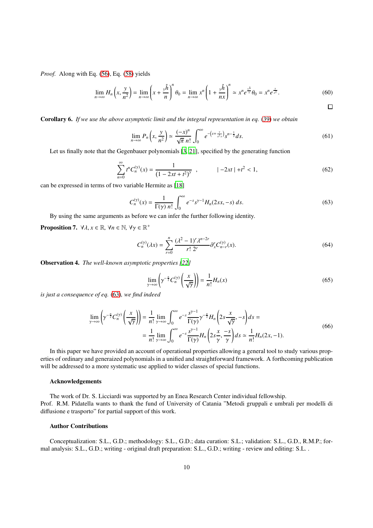*Proof.* Along with Eq. [\(56\)](#page-8-2), Eq. [\(58\)](#page-8-3) yields

$$
\lim_{n \to \infty} H_n\left(x, \frac{y}{n^2}\right) = \lim_{n \to \infty} \left(x + \frac{y\hat{h}}{n}\right)^n \theta_0 = \lim_{n \to \infty} x^n \left(1 + \frac{y\hat{h}}{nx}\right)^n \simeq x^n e^{\frac{y\hat{h}}{x}} \theta_0 = x^n e^{\frac{y}{x^2}}.
$$
\n
$$
(60)
$$

 $\Box$ 

Corollary 6. *If we use the above asymptotic limit and the integral representation in eq.* [\(39\)](#page-6-0) *we obtain*

$$
\lim_{n \to \infty} P_n\left(x, \frac{y}{n^2}\right) \simeq \frac{(-x)^n}{\sqrt{\pi} n!} \int_0^\infty e^{-\left(s + \frac{y}{x^2 s}\right)} s^{n - \frac{1}{2}} ds. \tag{61}
$$

Let us finally note that the Gegenbauer polynomials [\[3,](#page-10-2) [21\]](#page-10-20), specified by the generating function

$$
\sum_{n=0}^{\infty} t^n C_n^{(\gamma)}(x) = \frac{1}{(1 - 2xt + t^2)^{\gamma}}, \qquad \qquad |-2xt| + t^2 < 1,\tag{62}
$$

can be expressed in terms of two variable Hermite as [\[18\]](#page-10-17)

<span id="page-9-0"></span>
$$
C_n^{(\gamma)}(x) = \frac{1}{\Gamma(\gamma) n!} \int_0^\infty e^{-s} s^{\gamma - 1} H_n(2sx, -s) \, ds. \tag{63}
$$

By using the same arguments as before we can infer the further following identity.

**Proposition 7.**  $\forall \lambda, x \in \mathbb{R}, \forall n \in \mathbb{N}, \forall \gamma \in \mathbb{R}^+$ 

$$
C_n^{(\gamma)}(\lambda x) = \sum_{r=0}^n \frac{(\lambda^2 - 1)^r \lambda^{n-2r}}{r! \ 2^r} \partial_x^r C_{n-r}^{(\gamma)}(x).
$$
 (64)

Observation 4. *The well-known asymptotic properties [\[22](#page-10-21)]*

$$
\lim_{\gamma \to \infty} \left( \gamma^{-\frac{n}{2}} C_n^{(\gamma)} \left( \frac{x}{\sqrt{\gamma}} \right) \right) = \frac{1}{n!} H_n(x) \tag{65}
$$

*is just a consequence of eq.* [\(63\)](#page-9-0)*, we find indeed*

$$
\lim_{\gamma \to \infty} \left( \gamma^{-\frac{n}{2}} C_n^{(\gamma)} \left( \frac{x}{\sqrt{\gamma}} \right) \right) = \frac{1}{n!} \lim_{\gamma \to \infty} \int_0^\infty e^{-s} \frac{s^{\gamma - 1}}{\Gamma(\gamma)} \gamma^{-\frac{n}{2}} H_n \left( 2s \frac{x}{\sqrt{\gamma}}, -s \right) ds =
$$
\n
$$
= \frac{1}{n!} \lim_{\gamma \to \infty} \int_0^\infty e^{-s} \frac{s^{\gamma - 1}}{\Gamma(\gamma)} H_n \left( 2s \frac{x}{\gamma}, \frac{-s}{\gamma} \right) ds \simeq \frac{1}{n!} H_n(2x, -1).
$$
\n(66)

In this paper we have provided an account of operational properties allowing a general tool to study various properties of ordinary and generaized polynomials in a unified and straightforward framework. A forthcoming publication will be addressed to a more systematic use applied to wider classes of special functions.

## Acknowledgements

The work of Dr. S. Licciardi was supported by an Enea Research Center individual fellowship. Prof. R.M. Pidatella wants to thank the fund of University of Catania "Metodi gruppali e umbrali per modelli di diffusione e trasporto" for partial support of this work.

# Author Contributions

Conceptualization: S.L., G.D.; methodology: S.L., G.D.; data curation: S.L.; validation: S.L., G.D., R.M.P.; formal analysis: S.L., G.D.; writing - original draft preparation: S.L., G.D.; writing - review and editing: S.L. .